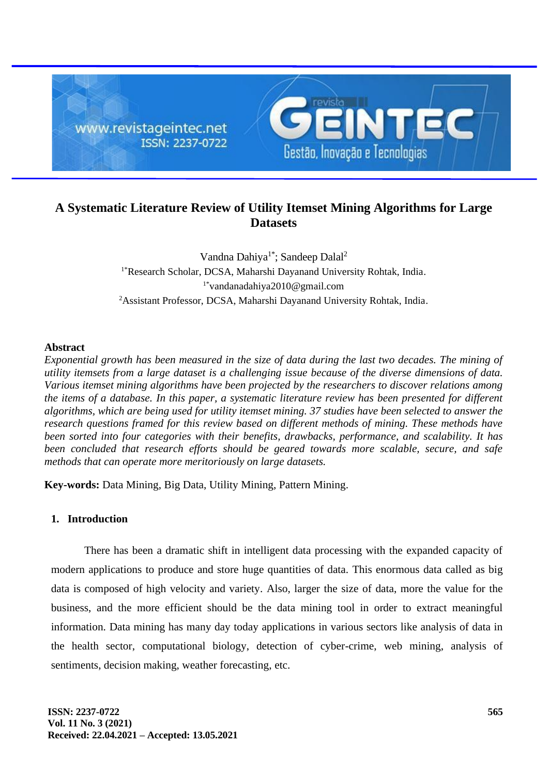

# **A Systematic Literature Review of Utility Itemset Mining Algorithms for Large Datasets**

Vandna Dahiya<sup>1\*</sup>; Sandeep Dalal<sup>2</sup> <sup>1\*</sup>Research Scholar, DCSA, Maharshi Dayanand University Rohtak, India. 1\*vandanadahiya2010@gmail.com <sup>2</sup>Assistant Professor, DCSA, Maharshi Dayanand University Rohtak, India.

## **Abstract**

*Exponential growth has been measured in the size of data during the last two decades. The mining of utility itemsets from a large dataset is a challenging issue because of the diverse dimensions of data. Various itemset mining algorithms have been projected by the researchers to discover relations among the items of a database. In this paper, a systematic literature review has been presented for different algorithms, which are being used for utility itemset mining. 37 studies have been selected to answer the research questions framed for this review based on different methods of mining. These methods have been sorted into four categories with their benefits, drawbacks, performance, and scalability. It has been concluded that research efforts should be geared towards more scalable, secure, and safe methods that can operate more meritoriously on large datasets.* 

**Key-words:** Data Mining, Big Data, Utility Mining, Pattern Mining.

# **1. Introduction**

There has been a dramatic shift in intelligent data processing with the expanded capacity of modern applications to produce and store huge quantities of data. This enormous data called as big data is composed of high velocity and variety. Also, larger the size of data, more the value for the business, and the more efficient should be the data mining tool in order to extract meaningful information. Data mining has many day today applications in various sectors like analysis of data in the health sector, computational biology, detection of cyber-crime, web mining, analysis of sentiments, decision making, weather forecasting, etc.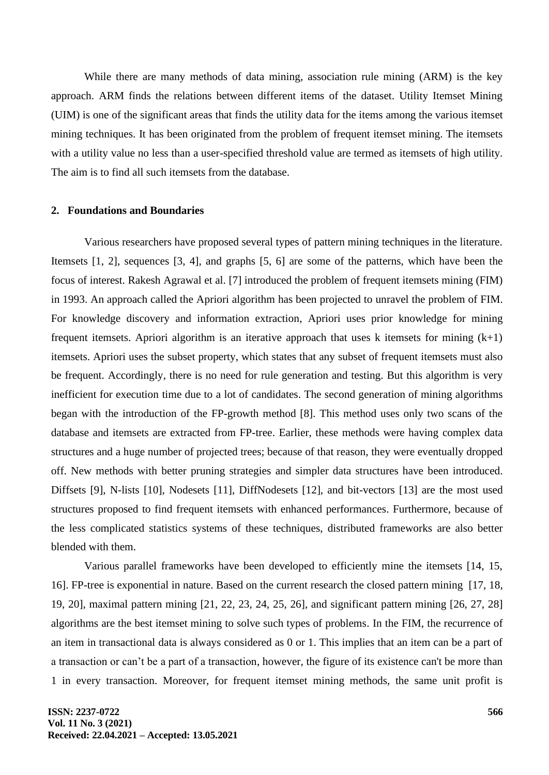While there are many methods of data mining, association rule mining (ARM) is the key approach. ARM finds the relations between different items of the dataset. Utility Itemset Mining (UIM) is one of the significant areas that finds the utility data for the items among the various itemset mining techniques. It has been originated from the problem of frequent itemset mining. The itemsets with a utility value no less than a user-specified threshold value are termed as itemsets of high utility. The aim is to find all such itemsets from the database.

#### **2. Foundations and Boundaries**

Various researchers have proposed several types of pattern mining techniques in the literature. Itemsets [1, 2], sequences [3, 4], and graphs [5, 6] are some of the patterns, which have been the focus of interest. Rakesh Agrawal et al. [7] introduced the problem of frequent itemsets mining (FIM) in 1993. An approach called the Apriori algorithm has been projected to unravel the problem of FIM. For knowledge discovery and information extraction, Apriori uses prior knowledge for mining frequent itemsets. Apriori algorithm is an iterative approach that uses k itemsets for mining  $(k+1)$ itemsets. Apriori uses the subset property, which states that any subset of frequent itemsets must also be frequent. Accordingly, there is no need for rule generation and testing. But this algorithm is very inefficient for execution time due to a lot of candidates. The second generation of mining algorithms began with the introduction of the FP-growth method [8]. This method uses only two scans of the database and itemsets are extracted from FP-tree. Earlier, these methods were having complex data structures and a huge number of projected trees; because of that reason, they were eventually dropped off. New methods with better pruning strategies and simpler data structures have been introduced. Diffsets [9], N-lists [10], Nodesets [11], DiffNodesets [12], and bit-vectors [13] are the most used structures proposed to find frequent itemsets with enhanced performances. Furthermore, because of the less complicated statistics systems of these techniques, distributed frameworks are also better blended with them.

Various parallel frameworks have been developed to efficiently mine the itemsets [14, 15, 16]. FP-tree is exponential in nature. Based on the current research the closed pattern mining [17, 18, 19, 20], maximal pattern mining [21, 22, 23, 24, 25, 26], and significant pattern mining [26, 27, 28] algorithms are the best itemset mining to solve such types of problems. In the FIM, the recurrence of an item in transactional data is always considered as 0 or 1. This implies that an item can be a part of a transaction or can't be a part of a transaction, however, the figure of its existence can't be more than 1 in every transaction. Moreover, for frequent itemset mining methods, the same unit profit is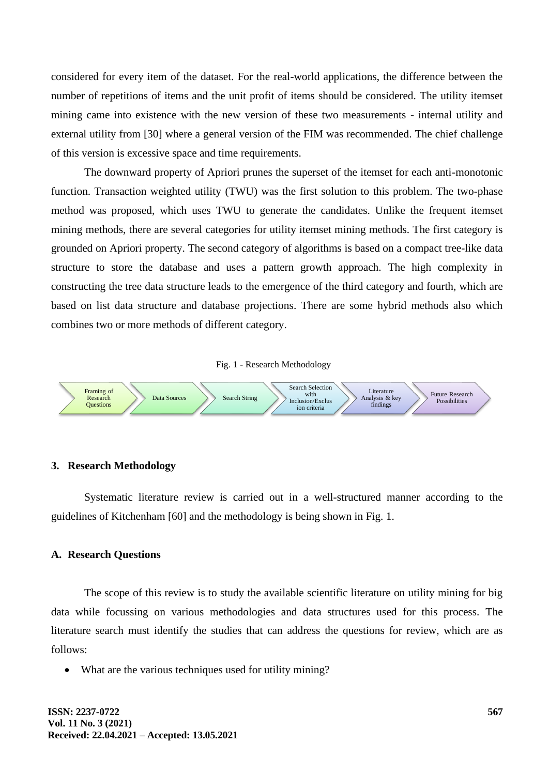considered for every item of the dataset. For the real-world applications, the difference between the number of repetitions of items and the unit profit of items should be considered. The utility itemset mining came into existence with the new version of these two measurements - internal utility and external utility from [30] where a general version of the FIM was recommended. The chief challenge of this version is excessive space and time requirements.

The downward property of Apriori prunes the superset of the itemset for each anti-monotonic function. Transaction weighted utility (TWU) was the first solution to this problem. The two-phase method was proposed, which uses TWU to generate the candidates. Unlike the frequent itemset mining methods, there are several categories for utility itemset mining methods. The first category is grounded on Apriori property. The second category of algorithms is based on a compact tree-like data structure to store the database and uses a pattern growth approach. The high complexity in constructing the tree data structure leads to the emergence of the third category and fourth, which are based on list data structure and database projections. There are some hybrid methods also which combines two or more methods of different category.





#### **3. Research Methodology**

Systematic literature review is carried out in a well-structured manner according to the guidelines of Kitchenham [60] and the methodology is being shown in Fig. 1.

#### **A. Research Questions**

The scope of this review is to study the available scientific literature on utility mining for big data while focussing on various methodologies and data structures used for this process. The literature search must identify the studies that can address the questions for review, which are as follows:

What are the various techniques used for utility mining?

**ISSN: 2237-0722 Vol. 11 No. 3 (2021) Received: 22.04.2021 – Accepted: 13.05.2021**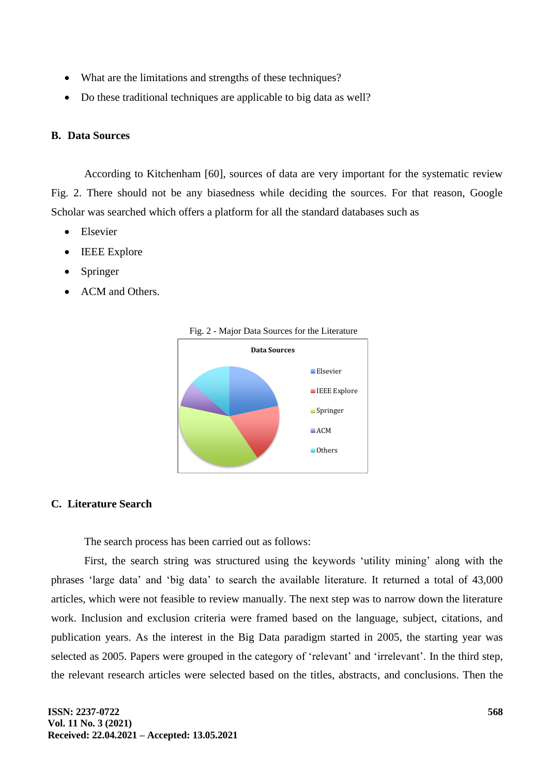- What are the limitations and strengths of these techniques?
- Do these traditional techniques are applicable to big data as well?

### **B. Data Sources**

According to Kitchenham [60], sources of data are very important for the systematic review Fig. 2. There should not be any biasedness while deciding the sources. For that reason, Google Scholar was searched which offers a platform for all the standard databases such as

- **Elsevier**
- **IEEE** Explore
- **Springer**
- ACM and Others.



Fig. 2 - Major Data Sources for the Literature

### **C. Literature Search**

The search process has been carried out as follows:

First, the search string was structured using the keywords 'utility mining' along with the phrases 'large data' and 'big data' to search the available literature. It returned a total of 43,000 articles, which were not feasible to review manually. The next step was to narrow down the literature work. Inclusion and exclusion criteria were framed based on the language, subject, citations, and publication years. As the interest in the Big Data paradigm started in 2005, the starting year was selected as 2005. Papers were grouped in the category of 'relevant' and 'irrelevant'. In the third step, the relevant research articles were selected based on the titles, abstracts, and conclusions. Then the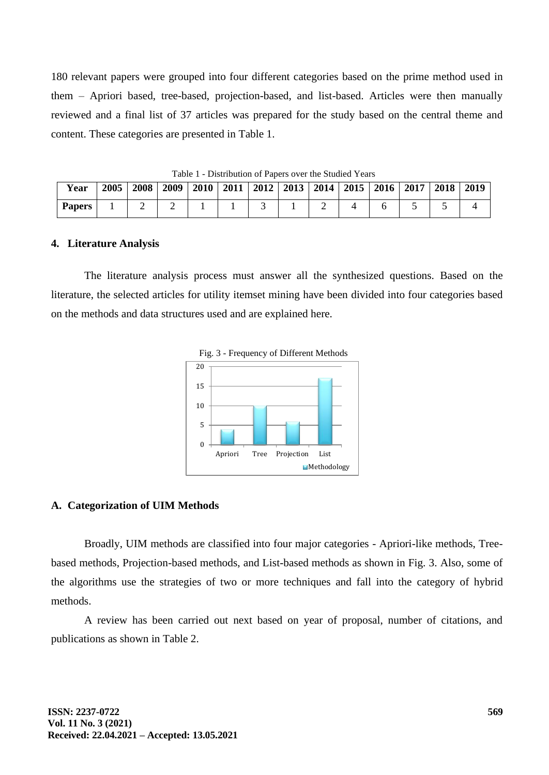180 relevant papers were grouped into four different categories based on the prime method used in them – Apriori based, tree-based, projection-based, and list-based. Articles were then manually reviewed and a final list of 37 articles was prepared for the study based on the central theme and content. These categories are presented in Table 1.

| Year          | 2005 | 2008 | 2009 |  | 2010   2011   2012   2013   2014 |  |  |   | $2015$   2016   2017   2018 |  | 2019 |
|---------------|------|------|------|--|----------------------------------|--|--|---|-----------------------------|--|------|
| <b>Papers</b> |      |      | -    |  |                                  |  |  | - |                             |  |      |

Table 1 - Distribution of Papers over the Studied Years

#### **4. Literature Analysis**

The literature analysis process must answer all the synthesized questions. Based on the literature, the selected articles for utility itemset mining have been divided into four categories based on the methods and data structures used and are explained here.



## **A. Categorization of UIM Methods**

Broadly, UIM methods are classified into four major categories - Apriori-like methods, Treebased methods, Projection-based methods, and List-based methods as shown in Fig. 3. Also, some of the algorithms use the strategies of two or more techniques and fall into the category of hybrid methods.

A review has been carried out next based on year of proposal, number of citations, and publications as shown in Table 2.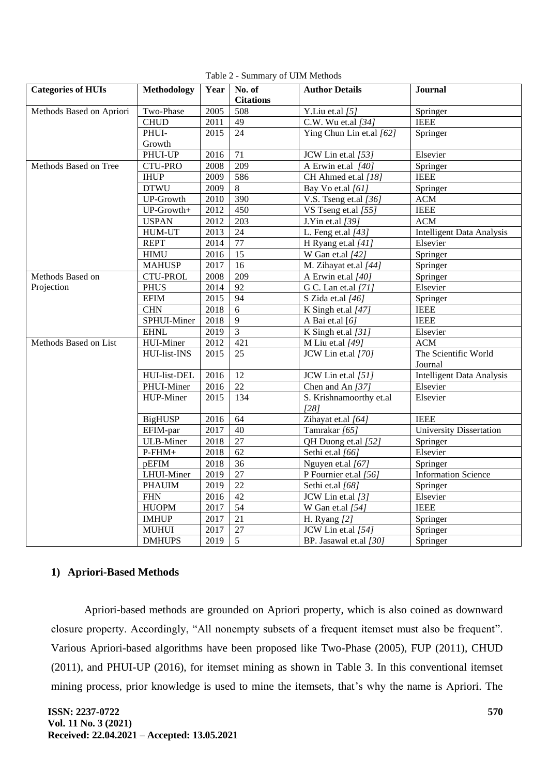| <b>Categories of HUIs</b> | Methodology                                        | Year | No. of<br><b>Citations</b> | <b>Author Details</b>           | Journal                        |
|---------------------------|----------------------------------------------------|------|----------------------------|---------------------------------|--------------------------------|
| Methods Based on Apriori  | Two-Phase                                          | 2005 | 508                        | Y.Liu et.al [5]                 | Springer                       |
|                           | <b>CHUD</b>                                        | 2011 | 49                         | C.W. Wu et.al [34]              | <b>IEEE</b>                    |
|                           | PHUI-                                              | 2015 | 24                         | Ying Chun Lin et.al [62]        | Springer                       |
|                           | Growth                                             |      |                            |                                 |                                |
|                           | PHUI-UP                                            | 2016 | 71                         | JCW Lin et.al [53]              | Elsevier                       |
| Methods Based on Tree     | <b>CTU-PRO</b>                                     | 2008 | 209                        | A Erwin et.al [40]              | Springer                       |
|                           | <b>IHUP</b>                                        | 2009 | 586                        | CH Ahmed et.al [18]             | <b>IEEE</b>                    |
|                           | <b>DTWU</b>                                        | 2009 | 8                          | Bay Vo et.al [61]               | Springer                       |
|                           | <b>UP-Growth</b>                                   | 2010 | 390                        | V.S. Tseng et.al $[36]$         | <b>ACM</b>                     |
|                           | $UP-Growth+$                                       | 2012 | 450                        | VS Tseng et.al [55]             | <b>IEEE</b>                    |
|                           | <b>USPAN</b>                                       | 2012 | 203                        | J.Yin et.al [39]                | ACM                            |
|                           | <b>HUM-UT</b>                                      | 2013 | 24                         | L. Feng et.al [43]              | Intelligent Data Analysis      |
|                           | <b>REPT</b>                                        | 2014 | 77                         | H Ryang et.al [41]              | Elsevier                       |
|                           | <b>HIMU</b>                                        | 2016 | 15                         | W Gan et.al $[42]$              | Springer                       |
|                           | <b>MAHUSP</b>                                      | 2017 | 16                         | M. Zihayat et.al [44]           | Springer                       |
| Methods Based on          | <b>CTU-PROL</b>                                    | 2008 | 209                        | A Erwin et.al [40]              | Springer                       |
| Projection                | <b>PHUS</b>                                        | 2014 | 92                         | G C. Lan et.al [71]             | Elsevier                       |
|                           | $\mathop{\rm E}\nolimits\mathop{\rm FIM}\nolimits$ | 2015 | 94                         | S Zida et.al [46]               | Springer                       |
|                           | <b>CHN</b>                                         | 2018 | 6                          | K Singh et.al [47]              | <b>IEEE</b>                    |
|                           | SPHUI-Miner                                        | 2018 | $\overline{9}$             | A Bai et.al [6]                 | <b>IEEE</b>                    |
|                           | <b>EHNL</b>                                        | 2019 | $\overline{3}$             | K Singh et.al [31]              | Elsevier                       |
| Methods Based on List     | HUI-Miner                                          | 2012 | 421                        | M Liu et.al [49]                | <b>ACM</b>                     |
|                           | HUI-list-INS                                       | 2015 | 25                         | JCW Lin et.al [70]              | The Scientific World           |
|                           |                                                    |      |                            |                                 | Journal                        |
|                           | HUI-list-DEL                                       | 2016 | 12                         | JCW Lin et.al [51]              | Intelligent Data Analysis      |
|                           | PHUI-Miner                                         | 2016 | 22                         | Chen and An [37]                | Elsevier                       |
|                           | HUP-Miner                                          | 2015 | 134                        | S. Krishnamoorthy et.al<br>[28] | Elsevier                       |
|                           | <b>BigHUSP</b>                                     | 2016 | 64                         | Zihayat et.al [64]              | <b>IEEE</b>                    |
|                           | EFIM-par                                           | 2017 | 40                         | Tamrakar [65]                   | <b>University Dissertation</b> |
|                           | <b>ULB-Miner</b>                                   | 2018 | 27                         | QH Duong et.al [52]             | Springer                       |
|                           | $P$ -FHM+                                          | 2018 | 62                         | Sethi et.al [66]                | Elsevier                       |
|                           | pEFIM                                              | 2018 | 36                         | Nguyen et.al [67]               | Springer                       |
|                           | LHUI-Miner                                         | 2019 | 27                         | P Fournier et.al [56]           | <b>Information Science</b>     |
|                           | <b>PHAUIM</b>                                      | 2019 | 22                         | Sethi et.al [68]                | Springer                       |
|                           | ${\rm FHN}$                                        | 2016 | 42                         | JCW Lin et.al [3]               | Elsevier                       |
|                           | <b>HUOPM</b>                                       | 2017 | 54                         | W Gan et.al [54]                | <b>IEEE</b>                    |
|                           | <b>IMHUP</b>                                       | 2017 | 21                         | H. Ryang $[2]$                  | Springer                       |
|                           | <b>MUHUI</b>                                       | 2017 | 27                         | JCW Lin et.al [54]              | Springer                       |
|                           | <b>DMHUPS</b>                                      | 2019 | 5                          | BP. Jasawal et.al [30]          | Springer                       |

Table 2 - Summary of UIM Methods

## **1) Apriori-Based Methods**

Apriori-based methods are grounded on Apriori property, which is also coined as downward closure property. Accordingly, "All nonempty subsets of a frequent itemset must also be frequent". Various Apriori-based algorithms have been proposed like Two-Phase (2005), FUP (2011), CHUD (2011), and PHUI-UP (2016), for itemset mining as shown in Table 3. In this conventional itemset mining process, prior knowledge is used to mine the itemsets, that's why the name is Apriori. The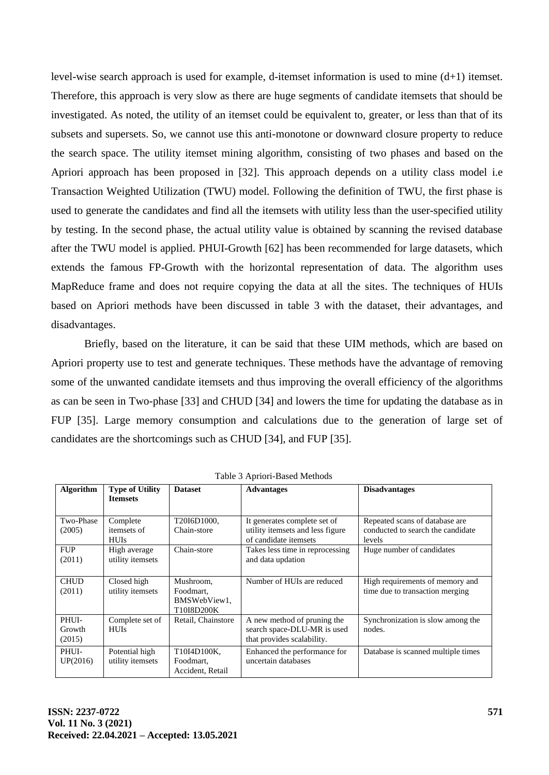level-wise search approach is used for example, d-itemset information is used to mine (d+1) itemset. Therefore, this approach is very slow as there are huge segments of candidate itemsets that should be investigated. As noted, the utility of an itemset could be equivalent to, greater, or less than that of its subsets and supersets. So, we cannot use this anti-monotone or downward closure property to reduce the search space. The utility itemset mining algorithm, consisting of two phases and based on the Apriori approach has been proposed in [32]. This approach depends on a utility class model i.e Transaction Weighted Utilization (TWU) model. Following the definition of TWU, the first phase is used to generate the candidates and find all the itemsets with utility less than the user-specified utility by testing. In the second phase, the actual utility value is obtained by scanning the revised database after the TWU model is applied. PHUI-Growth [62] has been recommended for large datasets, which extends the famous FP-Growth with the horizontal representation of data. The algorithm uses MapReduce frame and does not require copying the data at all the sites. The techniques of HUIs based on Apriori methods have been discussed in table 3 with the dataset, their advantages, and disadvantages.

Briefly, based on the literature, it can be said that these UIM methods, which are based on Apriori property use to test and generate techniques. These methods have the advantage of removing some of the unwanted candidate itemsets and thus improving the overall efficiency of the algorithms as can be seen in Two-phase [33] and CHUD [34] and lowers the time for updating the database as in FUP [35]. Large memory consumption and calculations due to the generation of large set of candidates are the shortcomings such as CHUD [34], and FUP [35].

| <b>Algorithm</b>          | <b>Type of Utility</b><br><b>Itemsets</b> | <b>Dataset</b>                                       | <b>Advantages</b>                                                                         | <b>Disadvantages</b>                                                          |
|---------------------------|-------------------------------------------|------------------------------------------------------|-------------------------------------------------------------------------------------------|-------------------------------------------------------------------------------|
| Two-Phase<br>(2005)       | Complete<br>itemsets of<br><b>HUIs</b>    | T20I6D1000,<br>Chain-store                           | It generates complete set of<br>utility itemsets and less figure<br>of candidate itemsets | Repeated scans of database are<br>conducted to search the candidate<br>levels |
| <b>FUP</b><br>(2011)      | High average<br>utility itemsets          | Chain-store                                          | Takes less time in reprocessing<br>and data updation                                      | Huge number of candidates                                                     |
| <b>CHUD</b><br>(2011)     | Closed high<br>utility itemsets           | Mushroom,<br>Foodmart.<br>BMSWebView1,<br>T10I8D200K | Number of HUIs are reduced                                                                | High requirements of memory and<br>time due to transaction merging            |
| PHUI-<br>Growth<br>(2015) | Complete set of<br><b>HUIs</b>            | Retail, Chainstore                                   | A new method of pruning the<br>search space-DLU-MR is used<br>that provides scalability.  | Synchronization is slow among the<br>nodes.                                   |
| PHUI-<br>UP(2016)         | Potential high<br>utility itemsets        | T10I4D100K,<br>Foodmart.<br>Accident, Retail         | Enhanced the performance for<br>uncertain databases                                       | Database is scanned multiple times                                            |

Table 3 Apriori-Based Methods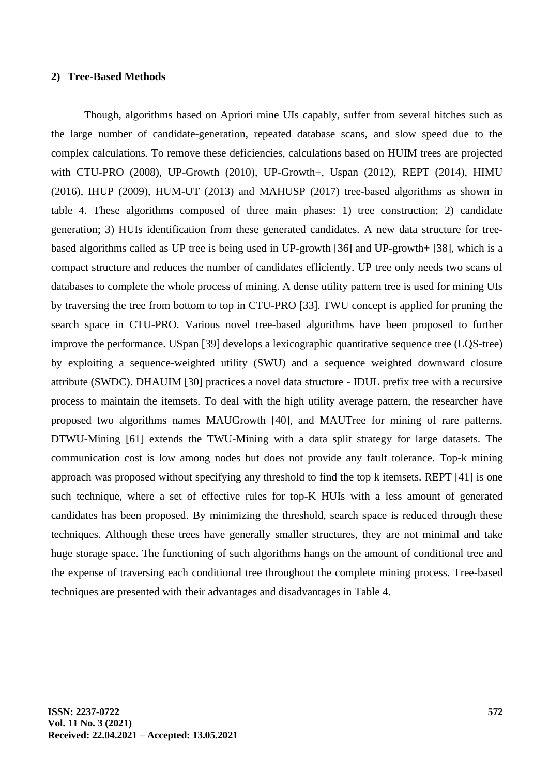#### **2) Tree-Based Methods**

Though, algorithms based on Apriori mine UIs capably, suffer from several hitches such as the large number of candidate-generation, repeated database scans, and slow speed due to the complex calculations. To remove these deficiencies, calculations based on HUIM trees are projected with CTU-PRO (2008), UP-Growth (2010), UP-Growth+, Uspan (2012), REPT (2014), HIMU (2016), IHUP (2009), HUM-UT (2013) and MAHUSP (2017) tree-based algorithms as shown in table 4. These algorithms composed of three main phases: 1) tree construction; 2) candidate generation; 3) HUIs identification from these generated candidates. A new data structure for treebased algorithms called as UP tree is being used in UP-growth [36] and UP-growth+ [38], which is a compact structure and reduces the number of candidates efficiently. UP tree only needs two scans of databases to complete the whole process of mining. A dense utility pattern tree is used for mining UIs by traversing the tree from bottom to top in CTU-PRO [33]. TWU concept is applied for pruning the search space in CTU-PRO. Various novel tree-based algorithms have been proposed to further improve the performance. USpan [39] develops a lexicographic quantitative sequence tree (LQS-tree) by exploiting a sequence-weighted utility (SWU) and a sequence weighted downward closure attribute (SWDC). DHAUIM [30] practices a novel data structure - IDUL prefix tree with a recursive process to maintain the itemsets. To deal with the high utility average pattern, the researcher have proposed two algorithms names MAUGrowth [40], and MAUTree for mining of rare patterns. DTWU-Mining [61] extends the TWU-Mining with a data split strategy for large datasets. The communication cost is low among nodes but does not provide any fault tolerance. Top-k mining approach was proposed without specifying any threshold to find the top k itemsets. REPT [41] is one such technique, where a set of effective rules for top-K HUIs with a less amount of generated candidates has been proposed. By minimizing the threshold, search space is reduced through these techniques. Although these trees have generally smaller structures, they are not minimal and take huge storage space. The functioning of such algorithms hangs on the amount of conditional tree and the expense of traversing each conditional tree throughout the complete mining process. Tree-based techniques are presented with their advantages and disadvantages in Table 4.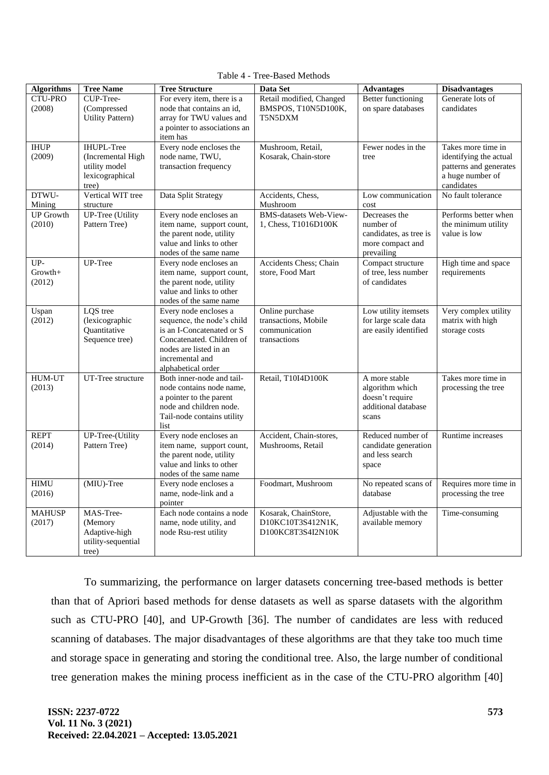| <b>Algorithms</b>          | <b>Tree Name</b>                         | <b>Tree Structure</b>                                   | Data Set                                       | <b>Advantages</b>                             | <b>Disadvantages</b>                        |
|----------------------------|------------------------------------------|---------------------------------------------------------|------------------------------------------------|-----------------------------------------------|---------------------------------------------|
| <b>CTU-PRO</b>             | CUP-Tree-                                | For every item, there is a                              | Retail modified, Changed                       | Better functioning                            | Generate lots of                            |
| (2008)                     | (Compressed<br><b>Utility Pattern)</b>   | node that contains an id,<br>array for TWU values and   | BMSPOS, T10N5D100K,<br>T5N5DXM                 | on spare databases                            | candidates                                  |
|                            |                                          | a pointer to associations an                            |                                                |                                               |                                             |
|                            |                                          | item has                                                |                                                |                                               |                                             |
| <b>IHUP</b>                | <b>IHUPL-Tree</b>                        | Every node encloses the                                 | Mushroom, Retail,                              | Fewer nodes in the                            | Takes more time in                          |
| (2009)                     | (Incremental High                        | node name, TWU,                                         | Kosarak, Chain-store                           | tree                                          | identifying the actual                      |
|                            | utility model<br>lexicographical         | transaction frequency                                   |                                                |                                               | patterns and generates<br>a huge number of  |
|                            | tree)                                    |                                                         |                                                |                                               | candidates                                  |
| DTWU-                      | Vertical WIT tree                        | Data Split Strategy                                     | Accidents, Chess,                              | Low communication                             | No fault tolerance                          |
| Mining                     | structure                                |                                                         | Mushroom                                       | cost                                          |                                             |
| <b>UP</b> Growth<br>(2010) | <b>UP-Tree</b> (Utility<br>Pattern Tree) | Every node encloses an<br>item name, support count,     | BMS-datasets Web-View-<br>1, Chess, T1016D100K | Decreases the<br>number of                    | Performs better when<br>the minimum utility |
|                            |                                          | the parent node, utility                                |                                                | candidates, as tree is                        | value is low                                |
|                            |                                          | value and links to other                                |                                                | more compact and                              |                                             |
|                            |                                          | nodes of the same name                                  |                                                | prevailing                                    |                                             |
| UP-<br>Growth+             | UP-Tree                                  | Every node encloses an                                  | Accidents Chess; Chain                         | Compact structure<br>of tree, less number     | High time and space<br>requirements         |
| (2012)                     |                                          | item name, support count,<br>the parent node, utility   | store, Food Mart                               | of candidates                                 |                                             |
|                            |                                          | value and links to other                                |                                                |                                               |                                             |
|                            |                                          | nodes of the same name                                  |                                                |                                               |                                             |
| Uspan                      | LQS tree                                 | Every node encloses a                                   | Online purchase                                | Low utility itemsets                          | Very complex utility                        |
| (2012)                     | (lexicographic<br>Quantitative           | sequence, the node's child<br>is an I-Concatenated or S | transactions, Mobile<br>communication          | for large scale data<br>are easily identified | matrix with high<br>storage costs           |
|                            | Sequence tree)                           | Concatenated. Children of                               | transactions                                   |                                               |                                             |
|                            |                                          | nodes are listed in an                                  |                                                |                                               |                                             |
|                            |                                          | incremental and                                         |                                                |                                               |                                             |
| <b>HUM-UT</b>              | UT-Tree structure                        | alphabetical order<br>Both inner-node and tail-         | Retail, T10I4D100K                             | A more stable                                 | Takes more time in                          |
| (2013)                     |                                          | node contains node name,                                |                                                | algorithm which                               | processing the tree                         |
|                            |                                          | a pointer to the parent                                 |                                                | doesn't require                               |                                             |
|                            |                                          | node and children node.                                 |                                                | additional database                           |                                             |
|                            |                                          | Tail-node contains utility<br>list                      |                                                | scans                                         |                                             |
| <b>REPT</b>                | UP-Tree-(Utility                         | Every node encloses an                                  | Accident, Chain-stores,                        | Reduced number of                             | Runtime increases                           |
| (2014)                     | Pattern Tree)                            | item name, support count,                               | Mushrooms, Retail                              | candidate generation                          |                                             |
|                            |                                          | the parent node, utility                                |                                                | and less search                               |                                             |
|                            |                                          | value and links to other<br>nodes of the same name      |                                                | space                                         |                                             |
| <b>HIMU</b>                | (MIU)-Tree                               | Every node encloses a                                   | Foodmart, Mushroom                             | No repeated scans of                          | Requires more time in                       |
| (2016)                     |                                          | name, node-link and a                                   |                                                | database                                      | processing the tree                         |
|                            |                                          | pointer                                                 |                                                |                                               |                                             |
| <b>MAHUSP</b>              | MAS-Tree-                                | Each node contains a node<br>name, node utility, and    | Kosarak, ChainStore,<br>D10KC10T3S412N1K,      | Adjustable with the<br>available memory       | Time-consuming                              |
| (2017)                     | (Memory<br>Adaptive-high                 | node Rsu-rest utility                                   | D100KC8T3S4I2N10K                              |                                               |                                             |
|                            | utility-sequential                       |                                                         |                                                |                                               |                                             |
|                            | tree)                                    |                                                         |                                                |                                               |                                             |

Table 4 - Tree-Based Methods

To summarizing, the performance on larger datasets concerning tree-based methods is better than that of Apriori based methods for dense datasets as well as sparse datasets with the algorithm such as CTU-PRO [40], and UP-Growth [36]. The number of candidates are less with reduced scanning of databases. The major disadvantages of these algorithms are that they take too much time and storage space in generating and storing the conditional tree. Also, the large number of conditional tree generation makes the mining process inefficient as in the case of the CTU-PRO algorithm [40]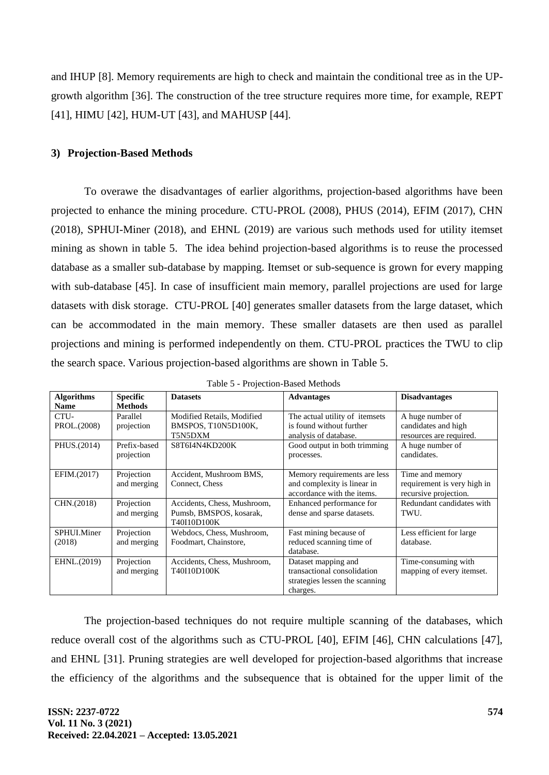and IHUP [8]. Memory requirements are high to check and maintain the conditional tree as in the UPgrowth algorithm [36]. The construction of the tree structure requires more time, for example, REPT [41], HIMU [42], HUM-UT [43], and MAHUSP [44].

#### **3) Projection-Based Methods**

To overawe the disadvantages of earlier algorithms, projection-based algorithms have been projected to enhance the mining procedure. CTU-PROL (2008), PHUS (2014), EFIM (2017), CHN (2018), SPHUI-Miner (2018), and EHNL (2019) are various such methods used for utility itemset mining as shown in table 5. The idea behind projection-based algorithms is to reuse the processed database as a smaller sub-database by mapping. Itemset or sub-sequence is grown for every mapping with sub-database [45]. In case of insufficient main memory, parallel projections are used for large datasets with disk storage. CTU-PROL [40] generates smaller datasets from the large dataset, which can be accommodated in the main memory. These smaller datasets are then used as parallel projections and mining is performed independently on them. CTU-PROL practices the TWU to clip the search space. Various projection-based algorithms are shown in Table 5.

| <b>Algorithms</b><br><b>Name</b> | <b>Specific</b><br><b>Methods</b> | <b>Datasets</b>                                                       | <b>Advantages</b>                                                                                | <b>Disadvantages</b>                                                    |
|----------------------------------|-----------------------------------|-----------------------------------------------------------------------|--------------------------------------------------------------------------------------------------|-------------------------------------------------------------------------|
| CTU-<br>PROL.(2008)              | Parallel<br>projection            | Modified Retails, Modified<br>BMSPOS, T10N5D100K,<br>T5N5DXM          | The actual utility of itemsets<br>is found without further<br>analysis of database.              | A huge number of<br>candidates and high<br>resources are required.      |
| PHUS.(2014)                      | Prefix-based<br>projection        | S8T6I4N4KD200K                                                        | Good output in both trimming<br>processes.                                                       | A huge number of<br>candidates.                                         |
| EFIM.(2017)                      | Projection<br>and merging         | Accident, Mushroom BMS,<br>Connect, Chess                             | Memory requirements are less<br>and complexity is linear in<br>accordance with the items.        | Time and memory<br>requirement is very high in<br>recursive projection. |
| CHN.(2018)                       | Projection<br>and merging         | Accidents, Chess, Mushroom,<br>Pumsb, BMSPOS, kosarak,<br>T40I10D100K | Enhanced performance for<br>dense and sparse datasets.                                           | Redundant candidates with<br>TWU.                                       |
| SPHUI.Miner<br>(2018)            | Projection<br>and merging         | Webdocs, Chess, Mushroom,<br>Foodmart, Chainstore,                    | Fast mining because of<br>reduced scanning time of<br>database.                                  | Less efficient for large<br>database.                                   |
| EHNL.(2019)                      | Projection<br>and merging         | Accidents, Chess, Mushroom,<br>T40I10D100K                            | Dataset mapping and<br>transactional consolidation<br>strategies lessen the scanning<br>charges. | Time-consuming with<br>mapping of every itemset.                        |

|  |  | Table 5 - Projection-Based Methods |
|--|--|------------------------------------|
|  |  |                                    |

The projection-based techniques do not require multiple scanning of the databases, which reduce overall cost of the algorithms such as CTU-PROL [40], EFIM [46], CHN calculations [47], and EHNL [31]. Pruning strategies are well developed for projection-based algorithms that increase the efficiency of the algorithms and the subsequence that is obtained for the upper limit of the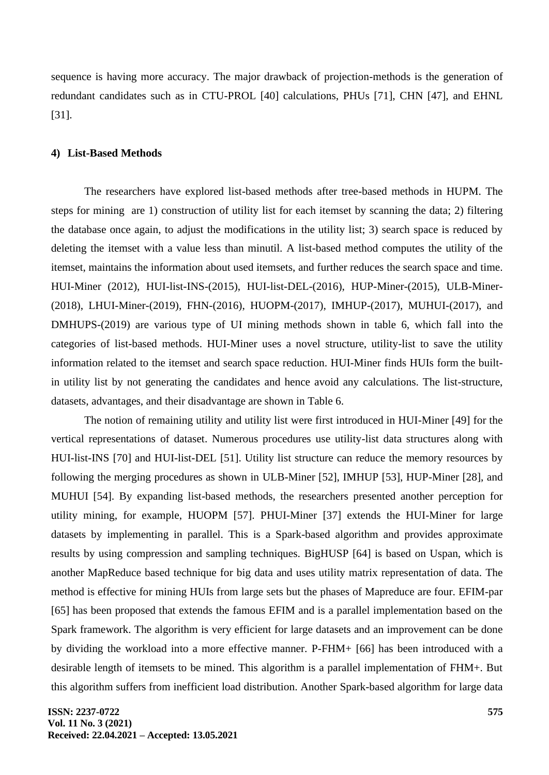sequence is having more accuracy. The major drawback of projection-methods is the generation of redundant candidates such as in CTU-PROL [40] calculations, PHUs [71], CHN [47], and EHNL [31].

#### **4) List-Based Methods**

The researchers have explored list-based methods after tree-based methods in HUPM. The steps for mining are 1) construction of utility list for each itemset by scanning the data; 2) filtering the database once again, to adjust the modifications in the utility list; 3) search space is reduced by deleting the itemset with a value less than minutil. A list-based method computes the utility of the itemset, maintains the information about used itemsets, and further reduces the search space and time. HUI-Miner (2012), HUI-list-INS-(2015), HUI-list-DEL-(2016), HUP-Miner-(2015), ULB-Miner- (2018), LHUI-Miner-(2019), FHN-(2016), HUOPM-(2017), IMHUP-(2017), MUHUI-(2017), and DMHUPS-(2019) are various type of UI mining methods shown in table 6, which fall into the categories of list-based methods. HUI-Miner uses a novel structure, utility-list to save the utility information related to the itemset and search space reduction. HUI-Miner finds HUIs form the builtin utility list by not generating the candidates and hence avoid any calculations. The list-structure, datasets, advantages, and their disadvantage are shown in Table 6.

The notion of remaining utility and utility list were first introduced in HUI-Miner [49] for the vertical representations of dataset. Numerous procedures use utility-list data structures along with HUI-list-INS [70] and HUI-list-DEL [51]. Utility list structure can reduce the memory resources by following the merging procedures as shown in ULB-Miner [52], IMHUP [53], HUP-Miner [28], and MUHUI [54]. By expanding list-based methods, the researchers presented another perception for utility mining, for example, HUOPM [57]. PHUI-Miner [37] extends the HUI-Miner for large datasets by implementing in parallel. This is a Spark-based algorithm and provides approximate results by using compression and sampling techniques. BigHUSP [64] is based on Uspan, which is another MapReduce based technique for big data and uses utility matrix representation of data. The method is effective for mining HUIs from large sets but the phases of Mapreduce are four. EFIM-par [65] has been proposed that extends the famous EFIM and is a parallel implementation based on the Spark framework. The algorithm is very efficient for large datasets and an improvement can be done by dividing the workload into a more effective manner. P-FHM+ [66] has been introduced with a desirable length of itemsets to be mined. This algorithm is a parallel implementation of FHM+. But this algorithm suffers from inefficient load distribution. Another Spark-based algorithm for large data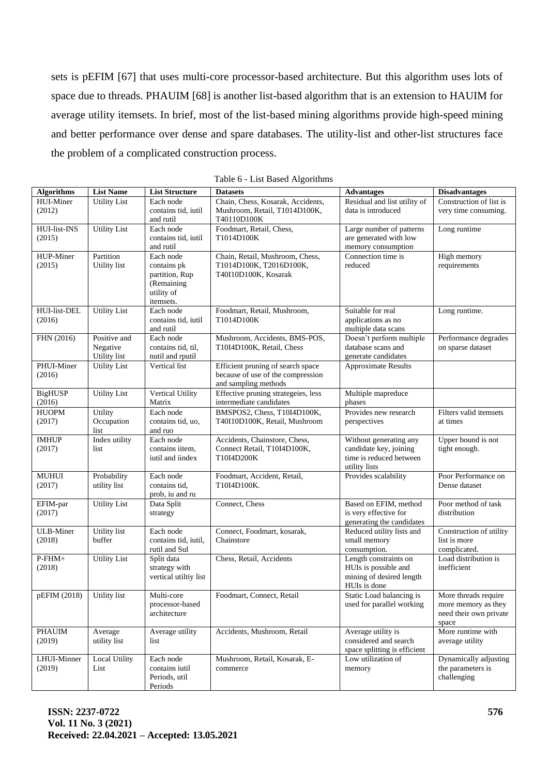sets is pEFIM [67] that uses multi-core processor-based architecture. But this algorithm uses lots of space due to threads. PHAUIM [68] is another list-based algorithm that is an extension to HAUIM for average utility itemsets. In brief, most of the list-based mining algorithms provide high-speed mining and better performance over dense and spare databases. The utility-list and other-list structures face the problem of a complicated construction process.

| <b>Algorithms</b>   | <b>List Name</b>          | <b>List Structure</b>         | <b>Datasets</b>                                            | <b>Advantages</b>                                     | <b>Disadvantages</b>                        |
|---------------------|---------------------------|-------------------------------|------------------------------------------------------------|-------------------------------------------------------|---------------------------------------------|
| HUI-Miner           | <b>Utility List</b>       | Each node                     | Chain, Chess, Kosarak, Accidents,                          | Residual and list utility of                          | Construction of list is                     |
| (2012)              |                           | contains tid, iutil           | Mushroom, Retail, T1014D100K,                              | data is introduced                                    | very time consuming.                        |
|                     |                           | and rutil                     | T40110D100K                                                |                                                       |                                             |
| HUI-list-INS        | <b>Utility List</b>       | Each node                     | Foodmart, Retail, Chess,                                   | Large number of patterns                              | Long runtime                                |
| (2015)              |                           | contains tid, iutil           | T1014D100K                                                 | are generated with low                                |                                             |
|                     |                           | and rutil                     |                                                            | memory consumption                                    |                                             |
| HUP-Miner<br>(2015) | Partition<br>Utility list | Each node<br>contains pk      | Chain, Retail, Mushroom, Chess,<br>T1014D100K, T2016D100K, | Connection time is<br>reduced                         | <b>High memory</b><br>requirements          |
|                     |                           | partition, Rup                | T40I10D100K, Kosarak                                       |                                                       |                                             |
|                     |                           | (Remaining                    |                                                            |                                                       |                                             |
|                     |                           | utility of                    |                                                            |                                                       |                                             |
|                     |                           | itemsets.                     |                                                            |                                                       |                                             |
| HUI-list-DEL        | <b>Utility List</b>       | Each node                     | Foodmart, Retail, Mushroom,                                | Suitable for real                                     | Long runtime.                               |
| (2016)              |                           | contains tid, iutil           | T1014D100K                                                 | applications as no                                    |                                             |
|                     |                           | and rutil                     |                                                            | multiple data scans                                   |                                             |
| FHN (2016)          | Positive and              | Each node                     | Mushroom, Accidents, BMS-POS,                              | Doesn't perform multiple                              | Performance degrades                        |
|                     | Negative                  | contains tid, til,            | T10I4D100K, Retail, Chess                                  | database scans and                                    | on sparse dataset                           |
|                     | Utility list              | nutil and rputil              |                                                            | generate candidates                                   |                                             |
| PHUI-Miner          | <b>Utility List</b>       | Vertical list                 | Efficient pruning of search space                          | Approximate Results                                   |                                             |
| (2016)              |                           |                               | because of use of the compression<br>and sampling methods  |                                                       |                                             |
| <b>BigHUSP</b>      | <b>Utility List</b>       | Vertical Utility              | Effective pruning strategeies, less                        | Multiple mapreduce                                    |                                             |
| (2016)              |                           | Matrix                        | intermediate candidates                                    | phases                                                |                                             |
| <b>HUOPM</b>        | <b>Utility</b>            | Each node                     | BMSPOS2, Chess, T10I4D100K,                                | Provides new research                                 | Filters valid itemsets                      |
| (2017)              | Occupation                | contains tid, uo,             | T40I10D100K, Retail, Mushroom                              | perspectives                                          | at times                                    |
|                     | list                      | and ruo                       |                                                            |                                                       |                                             |
| <b>IMHUP</b>        | Index utility             | Each node                     | Accidents, Chainstore, Chess,                              | Without generating any                                | Upper bound is not                          |
| (2017)              | list                      | contains iitem,               | Connect Retail, T10I4D100K,                                | candidate key, joining                                | tight enough.                               |
|                     |                           | iutil and iindex              | T10I4D200K                                                 | time is reduced between                               |                                             |
|                     |                           |                               |                                                            | utility lists                                         |                                             |
| <b>MUHUI</b>        | Probability               | Each node                     | Foodmart, Accident, Retail,                                | Provides scalability                                  | Poor Performance on                         |
| (2017)              | utility list              | contains tid,                 | T10I4D100K.                                                |                                                       | Dense dataset                               |
| EFIM-par            | <b>Utility List</b>       | prob, iu and ru<br>Data Split | Connect, Chess                                             | Based on EFIM, method                                 | Poor method of task                         |
| (2017)              |                           | strategy                      |                                                            | is very effective for                                 | distribution                                |
|                     |                           |                               |                                                            | generating the candidates                             |                                             |
| <b>ULB-Miner</b>    | Utility list              | Each node                     | Connect, Foodmart, kosarak,                                | Reduced utility lists and                             | Construction of utility                     |
| (2018)              | buffer                    | contains tid, iutil,          | Chainstore                                                 | small memory                                          | list is more                                |
|                     |                           | rutil and Sul                 |                                                            | consumption.                                          | complicated.                                |
| $P$ -FHM+           | <b>Utility List</b>       | Split data                    | Chess, Retail, Accidents                                   | Length constraints on                                 | Load distribution is                        |
| (2018)              |                           | strategy with                 |                                                            | HUIs is possible and                                  | inefficient                                 |
|                     |                           | vertical utiltiy list         |                                                            | mining of desired length                              |                                             |
|                     |                           |                               |                                                            | HUIs is done                                          |                                             |
| pEFIM (2018)        | Utility list              | Multi-core<br>processor-based | Foodmart, Connect, Retail                                  | Static Load balancing is<br>used for parallel working | More threads require<br>more memory as they |
|                     |                           | architecture                  |                                                            |                                                       | need their own private                      |
|                     |                           |                               |                                                            |                                                       | space                                       |
| <b>PHAUIM</b>       | Average                   | Average utility               | Accidents, Mushroom, Retail                                | Average utility is                                    | More runtime with                           |
| (2019)              | utility list              | list                          |                                                            | considered and search                                 | average utility                             |
|                     |                           |                               |                                                            | space splitting is efficient                          |                                             |
| LHUI-Minner         | <b>Local Utility</b>      | Each node                     | Mushroom, Retail, Kosarak, E-                              | Low utilization of                                    | Dynamically adjusting                       |
| (2019)              | List                      | contains jutil                | commerce                                                   | memory                                                | the parameters is                           |
|                     |                           | Periods, util                 |                                                            |                                                       | challenging                                 |
|                     |                           | Periods                       |                                                            |                                                       |                                             |

|  | Table 6 - List Based Algorithms |  |
|--|---------------------------------|--|
|  |                                 |  |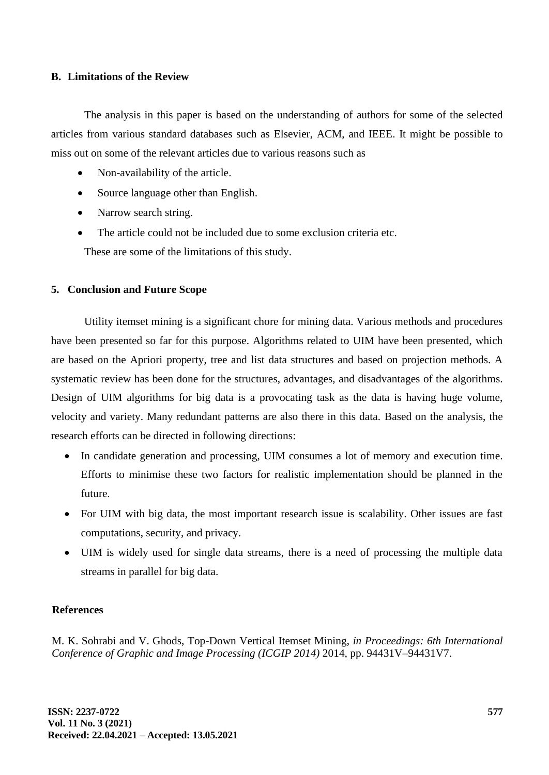## **B. Limitations of the Review**

The analysis in this paper is based on the understanding of authors for some of the selected articles from various standard databases such as Elsevier, ACM, and IEEE. It might be possible to miss out on some of the relevant articles due to various reasons such as

- Non-availability of the article.
- Source language other than English.
- Narrow search string.
- The article could not be included due to some exclusion criteria etc. These are some of the limitations of this study.

# **5. Conclusion and Future Scope**

Utility itemset mining is a significant chore for mining data. Various methods and procedures have been presented so far for this purpose. Algorithms related to UIM have been presented, which are based on the Apriori property, tree and list data structures and based on projection methods. A systematic review has been done for the structures, advantages, and disadvantages of the algorithms. Design of UIM algorithms for big data is a provocating task as the data is having huge volume, velocity and variety. Many redundant patterns are also there in this data. Based on the analysis, the research efforts can be directed in following directions:

- In candidate generation and processing, UIM consumes a lot of memory and execution time. Efforts to minimise these two factors for realistic implementation should be planned in the future.
- For UIM with big data, the most important research issue is scalability. Other issues are fast computations, security, and privacy.
- UIM is widely used for single data streams, there is a need of processing the multiple data streams in parallel for big data.

## **References**

M. K. Sohrabi and V. Ghods, Top-Down Vertical Itemset Mining, *in Proceedings: 6th International Conference of Graphic and Image Processing (ICGIP 2014)* 2014, pp. 94431V–94431V7.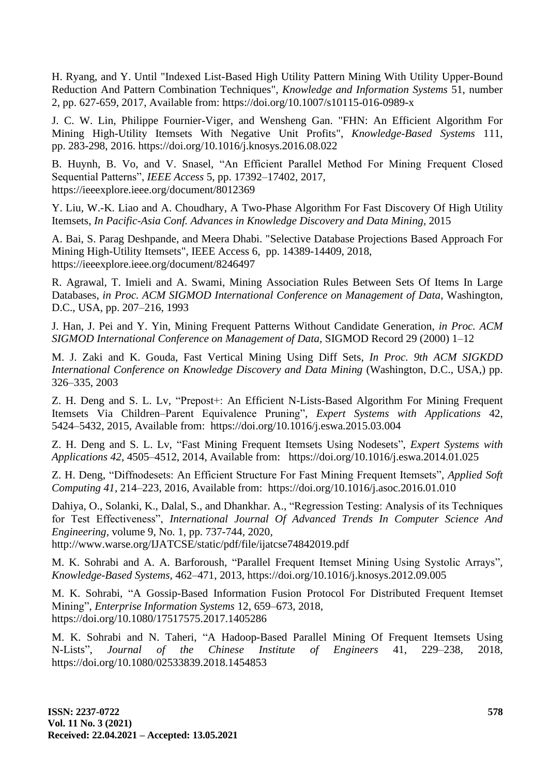H. Ryang, and Y. Until "Indexed List-Based High Utility Pattern Mining With Utility Upper-Bound Reduction And Pattern Combination Techniques", *Knowledge and Information Systems* 51, number 2, pp. 627-659, 2017, Available from: <https://doi.org/10.1007/s10115-016-0989-x>

J. C. W. Lin, Philippe Fournier-Viger, and Wensheng Gan. "FHN: An Efficient Algorithm For Mining High-Utility Itemsets With Negative Unit Profits", *Knowledge-Based Systems* 111, pp. 283-298, 2016. <https://doi.org/10.1016/j.knosys.2016.08.022>

B. Huynh, B. Vo, and V. Snasel, "An Efficient Parallel Method For Mining Frequent Closed Sequential Patterns", *IEEE Access* 5, pp. 17392–17402, 2017, <https://ieeexplore.ieee.org/document/8012369>

Y. Liu, W.-K. Liao and A. Choudhary, A Two-Phase Algorithm For Fast Discovery Of High Utility Itemsets, *In Pacific-Asia Conf. Advances in Knowledge Discovery and Data Mining,* 2015

A. Bai, S. Parag Deshpande, and Meera Dhabi. "Selective Database Projections Based Approach For Mining High-Utility Itemsets", IEEE Access 6, pp. 14389-14409, 2018, <https://ieeexplore.ieee.org/document/8246497>

R. Agrawal, T. Imieli and A. Swami, Mining Association Rules Between Sets Of Items In Large Databases, *in Proc. ACM SIGMOD International Conference on Management of Data*, Washington, D.C., USA, pp. 207–216, 1993

J. Han, J. Pei and Y. Yin, Mining Frequent Patterns Without Candidate Generation, *in Proc. ACM SIGMOD International Conference on Management of Data,* SIGMOD Record 29 (2000) 1–12

M. J. Zaki and K. Gouda, Fast Vertical Mining Using Diff Sets, *In Proc. 9th ACM SIGKDD International Conference on Knowledge Discovery and Data Mining* (Washington, D.C., USA,) pp. 326–335, 2003

Z. H. Deng and S. L. Lv, "Prepost+: An Efficient N-Lists-Based Algorithm For Mining Frequent Itemsets Via Children–Parent Equivalence Pruning", *Expert Systems with Applications* 42, 5424–5432, 2015, Available from: <https://doi.org/10.1016/j.eswa.2015.03.004>

Z. H. Deng and S. L. Lv, "Fast Mining Frequent Itemsets Using Nodesets", *Expert Systems with Applications 42*, 4505–4512, 2014, Available from: <https://doi.org/10.1016/j.eswa.2014.01.025>

Z. H. Deng, "Diffnodesets: An Efficient Structure For Fast Mining Frequent Itemsets", *Applied Soft Computing 41*, 214–223, 2016, Available from: <https://doi.org/10.1016/j.asoc.2016.01.010>

Dahiya, O., Solanki, K., Dalal, S., and Dhankhar. A., "Regression Testing: Analysis of its Techniques for Test Effectiveness", *International Journal Of Advanced Trends In Computer Science And Engineering,* volume 9, No. 1, pp. 737-744, 2020,

<http://www.warse.org/IJATCSE/static/pdf/file/ijatcse74842019.pdf>

M. K. Sohrabi and A. A. Barforoush, "Parallel Frequent Itemset Mining Using Systolic Arrays", *Knowledge-Based Systems,* 462–471, 2013,<https://doi.org/10.1016/j.knosys.2012.09.005>

M. K. Sohrabi, "A Gossip-Based Information Fusion Protocol For Distributed Frequent Itemset Mining", *Enterprise Information Systems* 12, 659–673, 2018, <https://doi.org/10.1080/17517575.2017.1405286>

M. K. Sohrabi and N. Taheri, "A Hadoop-Based Parallel Mining Of Frequent Itemsets Using N-Lists", *Journal of the Chinese Institute of Engineers* 41, 229–238, 2018, <https://doi.org/10.1080/02533839.2018.1454853>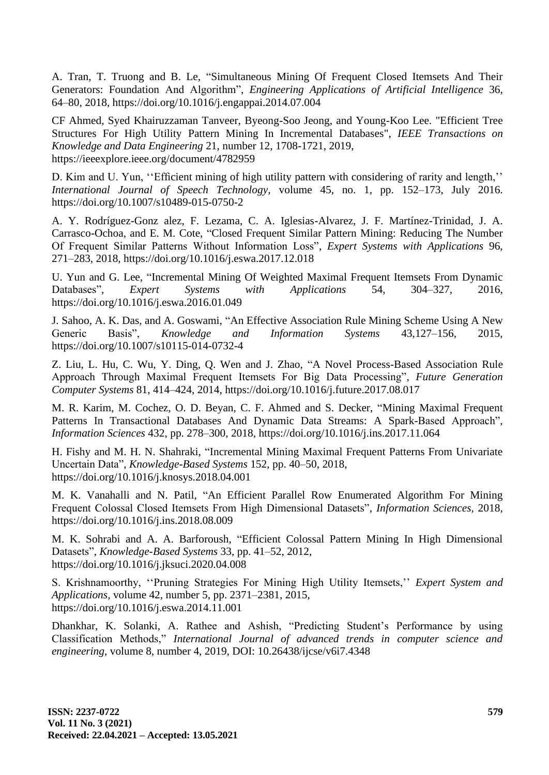A. Tran, T. Truong and B. Le, "Simultaneous Mining Of Frequent Closed Itemsets And Their Generators: Foundation And Algorithm", *Engineering Applications of Artificial Intelligence* 36, 64–80, 2018,<https://doi.org/10.1016/j.engappai.2014.07.004>

CF Ahmed, Syed Khairuzzaman Tanveer, Byeong-Soo Jeong, and Young-Koo Lee. "Efficient Tree Structures For High Utility Pattern Mining In Incremental Databases", *IEEE Transactions on Knowledge and Data Engineering* 21, number 12, 1708-1721, 2019, <https://ieeexplore.ieee.org/document/4782959>

D. Kim and U. Yun, ''Efficient mining of high utility pattern with considering of rarity and length,'' *International Journal of Speech Technology,* volume 45, no. 1, pp. 152–173, July 2016. <https://doi.org/10.1007/s10489-015-0750-2>

A. Y. Rodríguez-Gonz alez, F. Lezama, C. A. Iglesias-Alvarez, J. F. Martínez-Trinidad, J. A. Carrasco-Ochoa, and E. M. Cote, "Closed Frequent Similar Pattern Mining: Reducing The Number Of Frequent Similar Patterns Without Information Loss", *Expert Systems with Applications* 96, 271–283, 2018,<https://doi.org/10.1016/j.eswa.2017.12.018>

U. Yun and G. Lee, "Incremental Mining Of Weighted Maximal Frequent Itemsets From Dynamic Databases", *Expert Systems with Applications* 54, 304–327, 2016, <https://doi.org/10.1016/j.eswa.2016.01.049>

J. Sahoo, A. K. Das, and A. Goswami, "An Effective Association Rule Mining Scheme Using A New Generic Basis", *Knowledge and Information Systems* 43,127–156, 2015, <https://doi.org/10.1007/s10115-014-0732-4>

Z. Liu, L. Hu, C. Wu, Y. Ding, Q. Wen and J. Zhao, "A Novel Process-Based Association Rule Approach Through Maximal Frequent Itemsets For Big Data Processing", *Future Generation Computer Systems* 81, 414–424, 2014,<https://doi.org/10.1016/j.future.2017.08.017>

M. R. Karim, M. Cochez, O. D. Beyan, C. F. Ahmed and S. Decker, "Mining Maximal Frequent Patterns In Transactional Databases And Dynamic Data Streams: A Spark-Based Approach", *Information Sciences* 432, pp. 278–300, 2018,<https://doi.org/10.1016/j.ins.2017.11.064>

H. Fishy and M. H. N. Shahraki, "Incremental Mining Maximal Frequent Patterns From Univariate Uncertain Data", *Knowledge-Based Systems* 152, pp. 40–50, 2018, <https://doi.org/10.1016/j.knosys.2018.04.001>

M. K. Vanahalli and N. Patil, "An Efficient Parallel Row Enumerated Algorithm For Mining Frequent Colossal Closed Itemsets From High Dimensional Datasets", *Information Sciences,* 2018, <https://doi.org/10.1016/j.ins.2018.08.009>

M. K. Sohrabi and A. A. Barforoush, "Efficient Colossal Pattern Mining In High Dimensional Datasets", *Knowledge-Based Systems* 33, pp. 41–52, 2012, <https://doi.org/10.1016/j.jksuci.2020.04.008>

S. Krishnamoorthy, ''Pruning Strategies For Mining High Utility Itemsets,'' *Expert System and Applications,* volume 42, number 5, pp. 2371–2381, 2015, <https://doi.org/10.1016/j.eswa.2014.11.001>

Dhankhar, K. Solanki, A. Rathee and Ashish, "Predicting Student's Performance by using Classification Methods," *International Journal of advanced trends in computer science and engineering,* volume 8, number 4, 2019, DOI: 10.26438/ijcse/v6i7.4348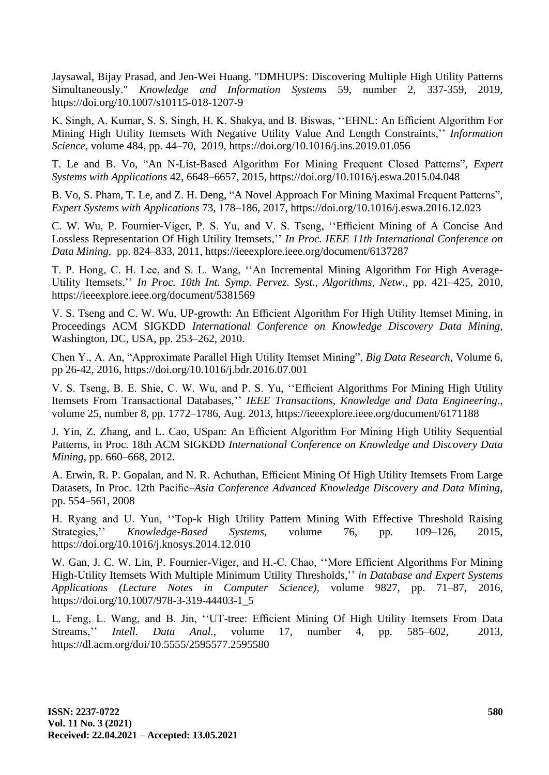Jaysawal, Bijay Prasad, and Jen-Wei Huang. "DMHUPS: Discovering Multiple High Utility Patterns Simultaneously." *Knowledge and Information Systems* 59, number 2, 337-359, 2019, <https://doi.org/10.1007/s10115-018-1207-9>

K. Singh, A. Kumar, S. S. Singh, H. K. Shakya, and B. Biswas, ''EHNL: An Efficient Algorithm For Mining High Utility Itemsets With Negative Utility Value And Length Constraints,'' *Information Science,* volume 484, pp. 44–70, 2019,<https://doi.org/10.1016/j.ins.2019.01.056>

T. Le and B. Vo, "An N-List-Based Algorithm For Mining Frequent Closed Patterns", *Expert Systems with Applications* 42, 6648–6657, 2015,<https://doi.org/10.1016/j.eswa.2015.04.048>

B. Vo, S. Pham, T. Le, and Z. H. Deng, "A Novel Approach For Mining Maximal Frequent Patterns", *Expert Systems with Applications* 73, 178–186, 2017, <https://doi.org/10.1016/j.eswa.2016.12.023>

C. W. Wu, P. Fournier-Viger, P. S. Yu, and V. S. Tseng, ''Efficient Mining of A Concise And Lossless Representation Of High Utility Itemsets,'' *In Proc. IEEE 11th International Conference on Data Mining,* pp. 824–833, 2011, https://ieeexplore.ieee.org/document/6137287

T. P. Hong, C. H. Lee, and S. L. Wang, ''An Incremental Mining Algorithm For High Average-Utility Itemsets,'' *In Proc. 10th Int. Symp. Pervez. Syst., Algorithms, Netw.,* pp. 421–425, 2010, <https://ieeexplore.ieee.org/document/5381569>

V. S. Tseng and C. W. Wu, UP-growth: An Efficient Algorithm For High Utility Itemset Mining, in Proceedings ACM SIGKDD *International Conference on Knowledge Discovery Data Mining*, Washington, DC, USA, pp. 253–262, 2010.

Chen Y., A. An, "Approximate Parallel High Utility Itemset Mining", *Big Data Research,* Volume 6, pp 26-42, 2016,<https://doi.org/10.1016/j.bdr.2016.07.001>

V. S. Tseng, B. E. Shie, C. W. Wu, and P. S. Yu, ''Efficient Algorithms For Mining High Utility Itemsets From Transactional Databases,'' *IEEE Transactions, Knowledge and Data Engineering.,* volume 25, number 8, pp. 1772–1786, Aug. 2013,<https://ieeexplore.ieee.org/document/6171188>

J. Yin, Z. Zhang, and L. Cao, USpan: An Efficient Algorithm For Mining High Utility Sequential Patterns, in Proc. 18th ACM SIGKDD *International Conference on Knowledge and Discovery Data Mining*, pp. 660–668, 2012.

A. Erwin, R. P. Gopalan, and N. R. Achuthan, Efficient Mining Of High Utility Itemsets From Large Datasets, In Proc. 12th Pacific–*Asia Conference Advanced Knowledge Discovery and Data Mining*, pp. 554–561, 2008

H. Ryang and U. Yun, ''Top-k High Utility Pattern Mining With Effective Threshold Raising Strategies,'' *Knowledge-Based Systems,* volume 76, pp. 109–126, 2015, <https://doi.org/10.1016/j.knosys.2014.12.010>

W. Gan, J. C. W. Lin, P. Fournier-Viger, and H.-C. Chao, ''More Efficient Algorithms For Mining High-Utility Itemsets With Multiple Minimum Utility Thresholds,'' *in Database and Expert Systems Applications (Lecture Notes in Computer Science),* volume 9827, pp. 71–87, 2016, [https://doi.org/10.1007/978-3-319-44403-1\\_5](https://doi.org/10.1007/978-3-319-44403-1_5)

L. Feng, L. Wang, and B. Jin, ''UT-tree: Efficient Mining Of High Utility Itemsets From Data Streams,'' *Intell. Data Anal.,* volume 17, number 4, pp. 585–602, 2013, <https://dl.acm.org/doi/10.5555/2595577.2595580>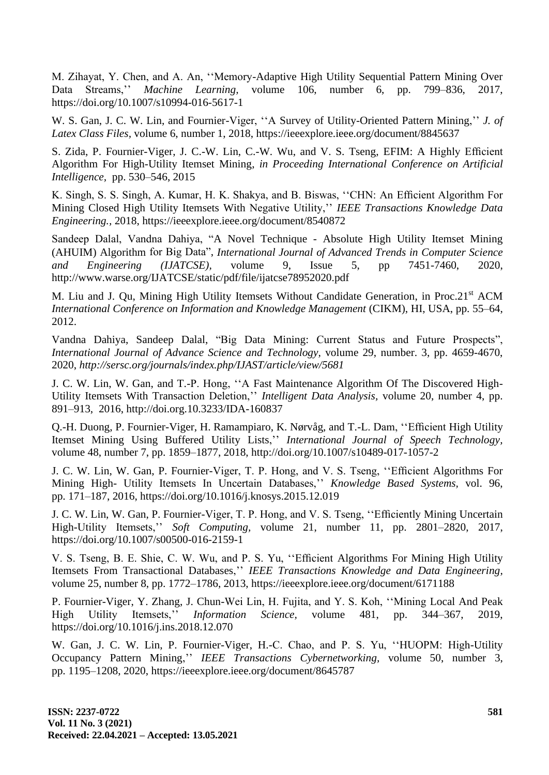M. Zihayat, Y. Chen, and A. An, ''Memory-Adaptive High Utility Sequential Pattern Mining Over Data Streams,'' *Machine Learning,* volume 106, number 6, pp. 799–836, 2017, <https://doi.org/10.1007/s10994-016-5617-1>

W. S. Gan, J. C. W. Lin, and Fournier-Viger, ''A Survey of Utility-Oriented Pattern Mining,'' *J. of Latex Class Files,* volume 6, number 1, 2018,<https://ieeexplore.ieee.org/document/8845637>

S. Zida, P. Fournier-Viger, J. C.-W. Lin, C.-W. Wu, and V. S. Tseng, EFIM: A Highly Efficient Algorithm For High-Utility Itemset Mining, *in Proceeding International Conference on Artificial Intelligence,* pp. 530–546, 2015

K. Singh, S. S. Singh, A. Kumar, H. K. Shakya, and B. Biswas, ''CHN: An Efficient Algorithm For Mining Closed High Utility Itemsets With Negative Utility,'' *IEEE Transactions Knowledge Data Engineering.,* 2018,<https://ieeexplore.ieee.org/document/8540872>

Sandeep Dalal, Vandna Dahiya, "A Novel Technique - Absolute High Utility Itemset Mining (AHUIM) Algorithm for Big Data", *International Journal of Advanced Trends in Computer Science and Engineering (IJATCSE),* volume 9, Issue 5, pp 7451-7460, 2020, <http://www.warse.org/IJATCSE/static/pdf/file/ijatcse78952020.pdf>

M. Liu and J. Qu, Mining High Utility Itemsets Without Candidate Generation, in Proc.21<sup>st</sup> ACM *International Conference on Information and Knowledge Management* (CIKM), HI, USA, pp. 55–64, 2012.

Vandna Dahiya, Sandeep Dalal, "Big Data Mining: Current Status and Future Prospects", *International Journal of Advance Science and Technology,* volume 29, number. 3, pp. 4659-4670, 2020, *<http://sersc.org/journals/index.php/IJAST/article/view/5681>*

J. C. W. Lin, W. Gan, and T.-P. Hong, ''A Fast Maintenance Algorithm Of The Discovered High-Utility Itemsets With Transaction Deletion,'' *Intelligent Data Analysis,* volume 20, number 4, pp. 891–913, 2016,<http://doi.org.10.3233/IDA-160837>

Q.-H. Duong, P. Fournier-Viger, H. Ramampiaro, K. Nørvåg, and T.-L. Dam, ''Efficient High Utility Itemset Mining Using Buffered Utility Lists,'' *International Journal of Speech Technology,*  volume 48, number 7, pp. 1859–1877, 2018,<http://doi.org/10.1007/s10489-017-1057-2>

J. C. W. Lin, W. Gan, P. Fournier-Viger, T. P. Hong, and V. S. Tseng, ''Efficient Algorithms For Mining High- Utility Itemsets In Uncertain Databases,'' *Knowledge Based Systems,* vol. 96, pp. 171–187, 2016,<https://doi.org/10.1016/j.knosys.2015.12.019>

J. C. W. Lin, W. Gan, P. Fournier-Viger, T. P. Hong, and V. S. Tseng, ''Efficiently Mining Uncertain High-Utility Itemsets,'' *Soft Computing,* volume 21, number 11, pp. 2801–2820, 2017, <https://doi.org/10.1007/s00500-016-2159-1>

V. S. Tseng, B. E. Shie, C. W. Wu, and P. S. Yu, ''Efficient Algorithms For Mining High Utility Itemsets From Transactional Databases,'' *IEEE Transactions Knowledge and Data Engineering,* volume 25, number 8, pp. 1772–1786, 2013,<https://ieeexplore.ieee.org/document/6171188>

P. Fournier-Viger, Y. Zhang, J. Chun-Wei Lin, H. Fujita, and Y. S. Koh, ''Mining Local And Peak High Utility Itemsets,'' *Information Science,* volume 481, pp. 344–367, 2019, <https://doi.org/10.1016/j.ins.2018.12.070>

W. Gan, J. C. W. Lin, P. Fournier-Viger, H.-C. Chao, and P. S. Yu, ''HUOPM: High-Utility Occupancy Pattern Mining,'' *IEEE Transactions Cybernetworking,* volume 50, number 3, pp. 1195–1208, 2020,<https://ieeexplore.ieee.org/document/8645787>